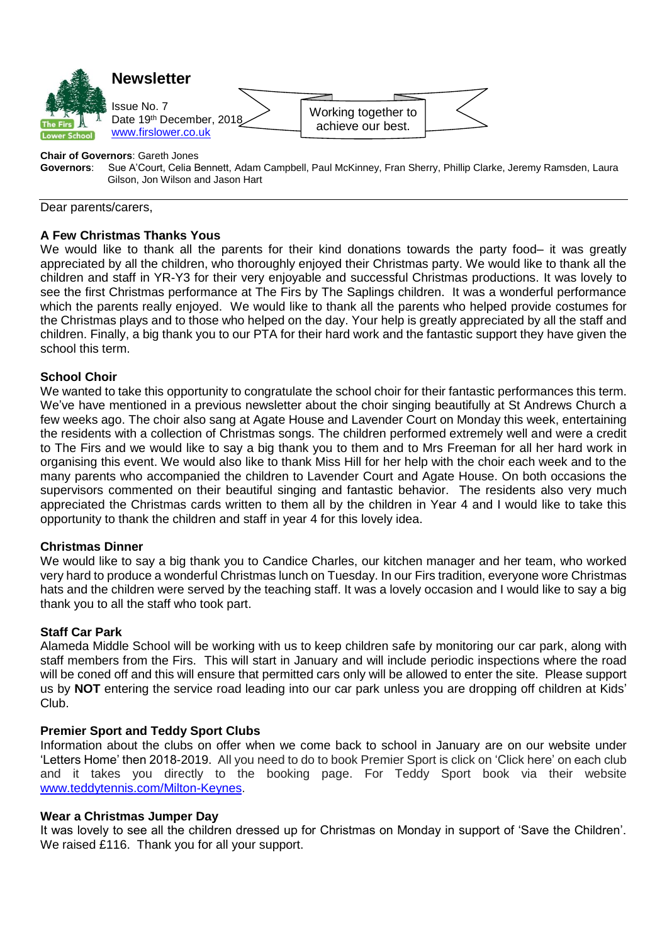

# **Chair of Governors: Gareth Jones<br>
<b>Governors:** Sue A'Court, Celia B

**Governors**: Sue A'Court, Celia Bennett, Adam Campbell, Paul McKinney, Fran Sherry, Phillip Clarke, Jeremy Ramsden, Laura Gilson, Jon Wilson and Jason Hart

Dear parents/carers,

## **A Few Christmas Thanks Yous**

We would like to thank all the parents for their kind donations towards the party food– it was greatly appreciated by all the children, who thoroughly enjoyed their Christmas party. We would like to thank all the children and staff in YR-Y3 for their very enjoyable and successful Christmas productions. It was lovely to see the first Christmas performance at The Firs by The Saplings children. It was a wonderful performance which the parents really enjoyed. We would like to thank all the parents who helped provide costumes for the Christmas plays and to those who helped on the day. Your help is greatly appreciated by all the staff and children. Finally, a big thank you to our PTA for their hard work and the fantastic support they have given the school this term.

## **School Choir**

We wanted to take this opportunity to congratulate the school choir for their fantastic performances this term. We've have mentioned in a previous newsletter about the choir singing beautifully at St Andrews Church a few weeks ago. The choir also sang at Agate House and Lavender Court on Monday this week, entertaining the residents with a collection of Christmas songs. The children performed extremely well and were a credit to The Firs and we would like to say a big thank you to them and to Mrs Freeman for all her hard work in organising this event. We would also like to thank Miss Hill for her help with the choir each week and to the many parents who accompanied the children to Lavender Court and Agate House. On both occasions the supervisors commented on their beautiful singing and fantastic behavior. The residents also very much appreciated the Christmas cards written to them all by the children in Year 4 and I would like to take this opportunity to thank the children and staff in year 4 for this lovely idea.

## **Christmas Dinner**

We would like to say a big thank you to Candice Charles, our kitchen manager and her team, who worked very hard to produce a wonderful Christmas lunch on Tuesday. In our Firs tradition, everyone wore Christmas hats and the children were served by the teaching staff. It was a lovely occasion and I would like to say a big thank you to all the staff who took part.

## **Staff Car Park**

Alameda Middle School will be working with us to keep children safe by monitoring our car park, along with staff members from the Firs. This will start in January and will include periodic inspections where the road will be coned off and this will ensure that permitted cars only will be allowed to enter the site. Please support us by **NOT** entering the service road leading into our car park unless you are dropping off children at Kids' Club.

## **Premier Sport and Teddy Sport Clubs**

Information about the clubs on offer when we come back to school in January are on our website under 'Letters Home' then 2018-2019. All you need to do to book Premier Sport is click on 'Click here' on each club and it takes you directly to the booking page. For Teddy Sport book via their website [www.teddytennis.com/Milton-Keynes.](http://www.teddytennis.com/Milton-Keynes)

## **Wear a Christmas Jumper Day**

It was lovely to see all the children dressed up for Christmas on Monday in support of 'Save the Children'. We raised £116. Thank you for all your support.